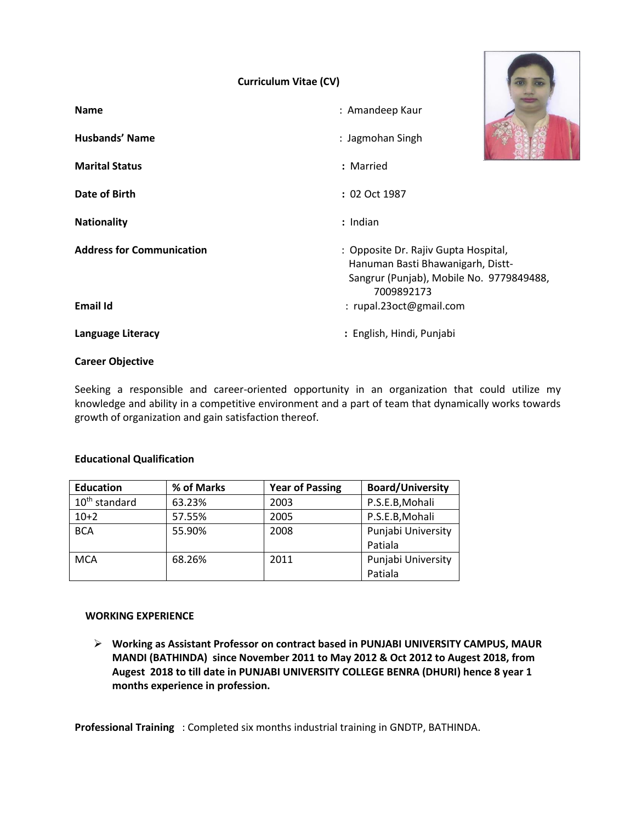# **Curriculum Vitae (CV)**

| <b>Name</b>                      | : Amandeep Kaur                                                                                                                     |  |
|----------------------------------|-------------------------------------------------------------------------------------------------------------------------------------|--|
| Husbands' Name                   | : Jagmohan Singh                                                                                                                    |  |
| <b>Marital Status</b>            | : Married                                                                                                                           |  |
| Date of Birth                    | : 02 Oct 1987                                                                                                                       |  |
| <b>Nationality</b>               | : Indian                                                                                                                            |  |
| <b>Address for Communication</b> | : Opposite Dr. Rajiv Gupta Hospital,<br>Hanuman Basti Bhawanigarh, Distt-<br>Sangrur (Punjab), Mobile No. 9779849488,<br>7009892173 |  |
| <b>Email Id</b>                  | : rupal.23oct@gmail.com                                                                                                             |  |
| Language Literacy                | : English, Hindi, Punjabi                                                                                                           |  |

#### **Career Objective**

Seeking a responsible and career-oriented opportunity in an organization that could utilize my knowledge and ability in a competitive environment and a part of team that dynamically works towards growth of organization and gain satisfaction thereof.

## **Educational Qualification**

| <b>Education</b> | % of Marks | <b>Year of Passing</b> | <b>Board/University</b> |
|------------------|------------|------------------------|-------------------------|
| $10th$ standard  | 63.23%     | 2003                   | P.S.E.B, Mohali         |
| $10+2$           | 57.55%     | 2005                   | P.S.E.B, Mohali         |
| <b>BCA</b>       | 55.90%     | 2008                   | Punjabi University      |
|                  |            |                        | Patiala                 |
| <b>MCA</b>       | 68.26%     | 2011                   | Punjabi University      |
|                  |            |                        | Patiala                 |

#### **WORKING EXPERIENCE**

➢ **Working as Assistant Professor on contract based in PUNJABI UNIVERSITY CAMPUS, MAUR MANDI (BATHINDA) since November 2011 to May 2012 & Oct 2012 to Augest 2018, from Augest 2018 to till date in PUNJABI UNIVERSITY COLLEGE BENRA (DHURI) hence 8 year 1 months experience in profession.**

**Professional Training** : Completed six months industrial training in GNDTP, BATHINDA.